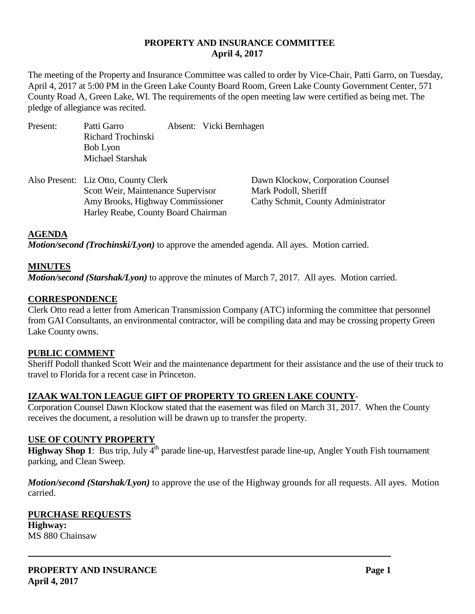### **PROPERTY AND INSURANCE COMMITTEE April 4, 2017**

The meeting of the Property and Insurance Committee was called to order by Vice-Chair, Patti Garro, on Tuesday, April 4, 2017 at 5:00 PM in the Green Lake County Board Room, Green Lake County Government Center, 571 County Road A, Green Lake, WI. The requirements of the open meeting law were certified as being met. The pledge of allegiance was recited.

- Present: Patti Garro Absent: Vicki Bernhagen Richard Trochinski Bob Lyon Michael Starshak
- Also Present: Liz Otto, County Clerk Dawn Klockow, Corporation Counsel Scott Weir, Maintenance Supervisor Mark Podoll, Sheriff Amy Brooks, Highway Commissioner Cathy Schmit, County Administrator Harley Reabe, County Board Chairman

### **AGENDA**

*Motion/second (Trochinski/Lyon)* to approve the amended agenda. All ayes. Motion carried.

#### **MINUTES**

*Motion/second (Starshak/Lyon)* to approve the minutes of March 7, 2017. All ayes. Motion carried.

#### **CORRESPONDENCE**

Clerk Otto read a letter from American Transmission Company (ATC) informing the committee that personnel from GAI Consultants, an environmental contractor, will be compiling data and may be crossing property Green Lake County owns.

#### **PUBLIC COMMENT**

Sheriff Podoll thanked Scott Weir and the maintenance department for their assistance and the use of their truck to travel to Florida for a recent case in Princeton.

### **IZAAK WALTON LEAGUE GIFT OF PROPERTY TO GREEN LAKE COUNTY**-

Corporation Counsel Dawn Klockow stated that the easement was filed on March 31, 2017. When the County receives the document, a resolution will be drawn up to transfer the property.

### **USE OF COUNTY PROPERTY**

**Highway Shop 1**: Bus trip, July  $4<sup>th</sup>$  parade line-up, Harvestfest parade line-up, Angler Youth Fish tournament parking, and Clean Sweep.

*Motion/second (Starshak/Lyon)* to approve the use of the Highway grounds for all requests. All ayes. Motion carried.

## **PURCHASE REQUESTS Highway:**

MS 880 Chainsaw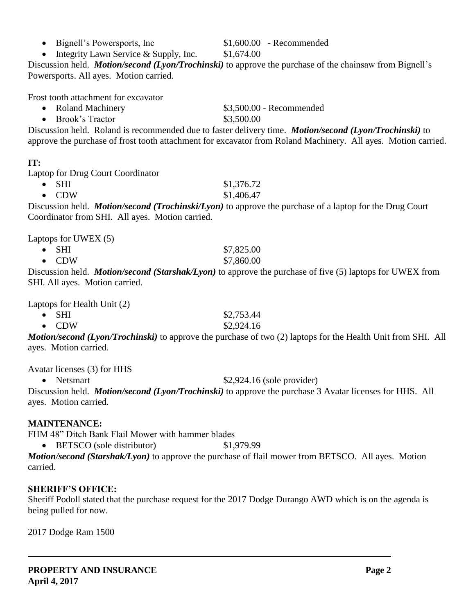#### • Bignell's Powersports, Inc  $$1,600.00$  - Recommended

• Integrity Lawn Service & Supply, Inc.  $$1,674.00$ 

Discussion held. *Motion/second (Lyon/Trochinski)* to approve the purchase of the chainsaw from Bignell's Powersports. All ayes. Motion carried.

Frost tooth attachment for excavator

- Roland Machinery **\$3,500.00** Recommended
- Brook's Tractor \$3,500.00

Discussion held. Roland is recommended due to faster delivery time. *Motion/second (Lyon/Trochinski)* to approve the purchase of frost tooth attachment for excavator from Roland Machinery. All ayes. Motion carried.

## **IT:**

Laptop for Drug Court Coordinator

 $\bullet$  SHI  $$1,376.72$ •  $CDW$  \$1,406.47

Discussion held. *Motion/second (Trochinski/Lyon)* to approve the purchase of a laptop for the Drug Court Coordinator from SHI. All ayes. Motion carried.

Laptops for UWEX (5)

• SHI  $$7,825.00$ • CDW \$7,860.00

Discussion held. *Motion/second (Starshak/Lyon)* to approve the purchase of five (5) laptops for UWEX from SHI. All ayes. Motion carried.

Laptops for Health Unit (2)

| $\bullet$ SHI                                                                                                                                                                                                                                                                                                                                                   |            |  | \$2,753.44                                                                                                                                                                                                                                                                                       |  |
|-----------------------------------------------------------------------------------------------------------------------------------------------------------------------------------------------------------------------------------------------------------------------------------------------------------------------------------------------------------------|------------|--|--------------------------------------------------------------------------------------------------------------------------------------------------------------------------------------------------------------------------------------------------------------------------------------------------|--|
| $\bullet$ CDW                                                                                                                                                                                                                                                                                                                                                   |            |  | \$2,924.16                                                                                                                                                                                                                                                                                       |  |
| $\lambda$ , and the set of $\lambda$ in $\lambda$ in $\lambda$ in $\lambda$ in $\lambda$ in $\lambda$ in $\lambda$ in $\lambda$ in $\lambda$ in $\lambda$ in $\lambda$ in $\lambda$ in $\lambda$ in $\lambda$ in $\lambda$ in $\lambda$ in $\lambda$ in $\lambda$ in $\lambda$ in $\lambda$ in $\lambda$ in $\lambda$ in $\lambda$ in $\lambda$ in $\lambda$ in | $\sqrt{2}$ |  | $\mathbf{r}$ and $\mathbf{r}$ and $\mathbf{r}$ and $\mathbf{r}$ and $\mathbf{r}$ and $\mathbf{r}$ and $\mathbf{r}$ and $\mathbf{r}$ and $\mathbf{r}$ and $\mathbf{r}$ and $\mathbf{r}$ and $\mathbf{r}$ and $\mathbf{r}$ and $\mathbf{r}$ and $\mathbf{r}$ and $\mathbf{r}$ and $\mathbf{r}$ and |  |

*Motion/second (Lyon/Trochinski)* to approve the purchase of two (2) laptops for the Health Unit from SHI. All ayes. Motion carried.

Avatar licenses (3) for HHS

• Netsmart \$2,924.16 (sole provider)

Discussion held. *Motion/second (Lyon/Trochinski)* to approve the purchase 3 Avatar licenses for HHS. All ayes. Motion carried.

## **MAINTENANCE:**

FHM 48" Ditch Bank Flail Mower with hammer blades

• BETSCO (sole distributor) \$1,979.99

*Motion/second (Starshak/Lyon)* to approve the purchase of flail mower from BETSCO. All ayes. Motion carried.

## **SHERIFF'S OFFICE:**

Sheriff Podoll stated that the purchase request for the 2017 Dodge Durango AWD which is on the agenda is being pulled for now.

2017 Dodge Ram 1500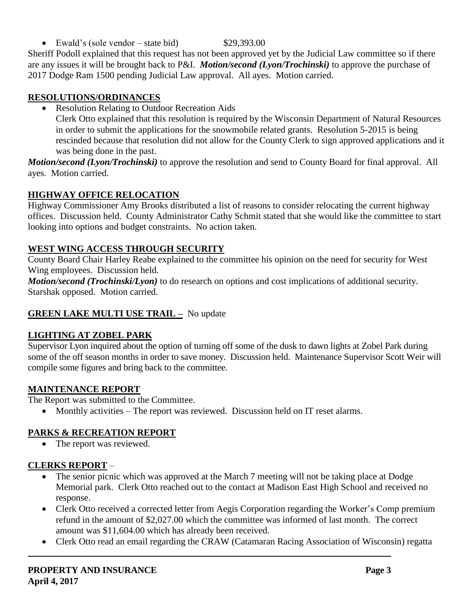Ewald's (sole vendor – state bid)  $$29,393.00$ 

Sheriff Podoll explained that this request has not been approved yet by the Judicial Law committee so if there are any issues it will be brought back to P&I. *Motion/second (Lyon/Trochinski)* to approve the purchase of 2017 Dodge Ram 1500 pending Judicial Law approval. All ayes. Motion carried.

## **RESOLUTIONS/ORDINANCES**

Resolution Relating to Outdoor Recreation Aids

Clerk Otto explained that this resolution is required by the Wisconsin Department of Natural Resources in order to submit the applications for the snowmobile related grants. Resolution 5-2015 is being rescinded because that resolution did not allow for the County Clerk to sign approved applications and it was being done in the past.

*Motion/second (Lyon/Trochinski)* to approve the resolution and send to County Board for final approval. All ayes. Motion carried.

## **HIGHWAY OFFICE RELOCATION**

Highway Commissioner Amy Brooks distributed a list of reasons to consider relocating the current highway offices. Discussion held. County Administrator Cathy Schmit stated that she would like the committee to start looking into options and budget constraints. No action taken.

## **WEST WING ACCESS THROUGH SECURITY**

County Board Chair Harley Reabe explained to the committee his opinion on the need for security for West Wing employees. Discussion held.

*Motion/second (Trochinski/Lyon)* to do research on options and cost implications of additional security. Starshak opposed. Motion carried.

# **GREEN LAKE MULTI USE TRAIL –** No update

# **LIGHTING AT ZOBEL PARK**

Supervisor Lyon inquired about the option of turning off some of the dusk to dawn lights at Zobel Park during some of the off season months in order to save money. Discussion held. Maintenance Supervisor Scott Weir will compile some figures and bring back to the committee.

# **MAINTENANCE REPORT**

The Report was submitted to the Committee.

• Monthly activities – The report was reviewed. Discussion held on IT reset alarms.

# **PARKS & RECREATION REPORT**

• The report was reviewed.

# **CLERKS REPORT** –

- The senior picnic which was approved at the March 7 meeting will not be taking place at Dodge Memorial park. Clerk Otto reached out to the contact at Madison East High School and received no response.
- Clerk Otto received a corrected letter from Aegis Corporation regarding the Worker's Comp premium refund in the amount of \$2,027.00 which the committee was informed of last month. The correct amount was \$11,604.00 which has already been received.
- Clerk Otto read an email regarding the CRAW (Catamaran Racing Association of Wisconsin) regatta